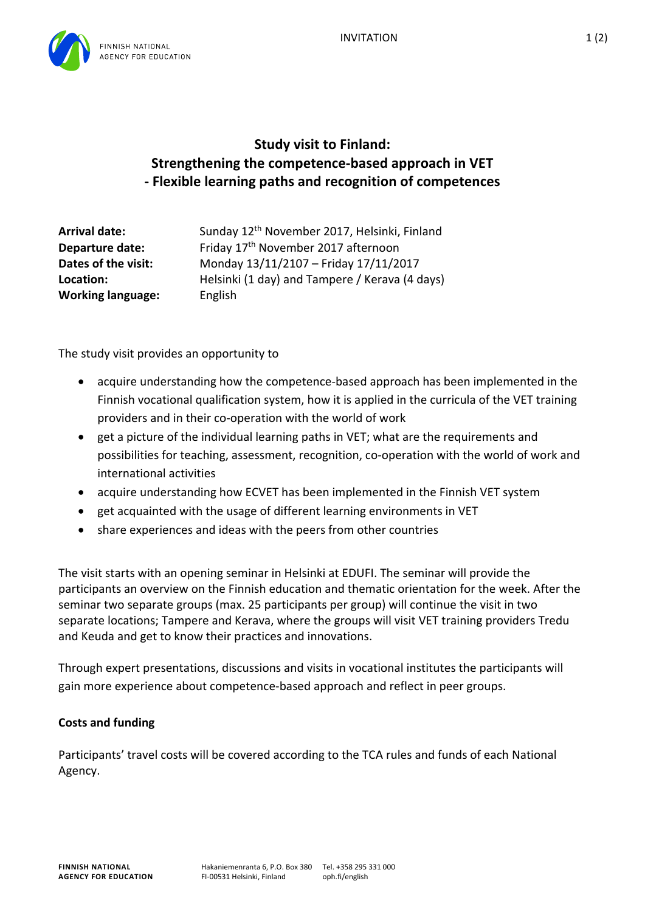

## **Study visit to Finland: Strengthening the competence-based approach in VET - Flexible learning paths and recognition of competences**

| <b>Arrival date:</b>     | Sunday 12 <sup>th</sup> November 2017, Helsinki, Finland |
|--------------------------|----------------------------------------------------------|
| Departure date:          | Friday 17 <sup>th</sup> November 2017 afternoon          |
| Dates of the visit:      | Monday 13/11/2107 - Friday 17/11/2017                    |
| Location:                | Helsinki (1 day) and Tampere / Kerava (4 days)           |
| <b>Working language:</b> | English                                                  |

The study visit provides an opportunity to

- acquire understanding how the competence-based approach has been implemented in the Finnish vocational qualification system, how it is applied in the curricula of the VET training providers and in their co-operation with the world of work
- get a picture of the individual learning paths in VET; what are the requirements and possibilities for teaching, assessment, recognition, co-operation with the world of work and international activities
- acquire understanding how ECVET has been implemented in the Finnish VET system
- get acquainted with the usage of different learning environments in VET
- share experiences and ideas with the peers from other countries

The visit starts with an opening seminar in Helsinki at EDUFI. The seminar will provide the participants an overview on the Finnish education and thematic orientation for the week. After the seminar two separate groups (max. 25 participants per group) will continue the visit in two separate locations; Tampere and Kerava, where the groups will visit VET training providers Tredu and Keuda and get to know their practices and innovations.

Through expert presentations, discussions and visits in vocational institutes the participants will gain more experience about competence-based approach and reflect in peer groups.

## **Costs and funding**

Participants' travel costs will be covered according to the TCA rules and funds of each National Agency.